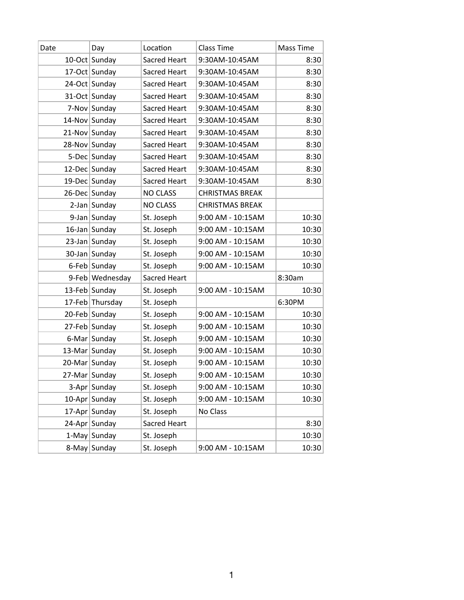| Date | Day              | Location            | Class Time             | Mass Time |
|------|------------------|---------------------|------------------------|-----------|
|      | 10-Oct Sunday    | Sacred Heart        | 9:30AM-10:45AM         | 8:30      |
|      | 17-Oct Sunday    | Sacred Heart        | 9:30AM-10:45AM         | 8:30      |
|      | 24-Oct Sunday    | Sacred Heart        | 9:30AM-10:45AM         | 8:30      |
|      | 31-Oct Sunday    | Sacred Heart        | 9:30AM-10:45AM         | 8:30      |
|      | 7-Nov Sunday     | Sacred Heart        | 9:30AM-10:45AM         | 8:30      |
|      | 14-Nov Sunday    | Sacred Heart        | 9:30AM-10:45AM         | 8:30      |
|      | 21-Nov Sunday    | <b>Sacred Heart</b> | 9:30AM-10:45AM         | 8:30      |
|      | 28-Nov Sunday    | Sacred Heart        | 9:30AM-10:45AM         | 8:30      |
|      | 5-Dec Sunday     | Sacred Heart        | 9:30AM-10:45AM         | 8:30      |
|      | 12-Dec Sunday    | Sacred Heart        | 9:30AM-10:45AM         | 8:30      |
|      | 19-Dec Sunday    | Sacred Heart        | 9:30AM-10:45AM         | 8:30      |
|      | 26-Dec Sunday    | <b>NO CLASS</b>     | <b>CHRISTMAS BREAK</b> |           |
|      | $2$ -Jan Sunday  | <b>NO CLASS</b>     | <b>CHRISTMAS BREAK</b> |           |
|      | 9-Jan Sunday     | St. Joseph          | 9:00 AM - 10:15AM      | 10:30     |
|      | $16$ -Jan Sunday | St. Joseph          | 9:00 AM - 10:15AM      | 10:30     |
|      | 23-Jan Sunday    | St. Joseph          | 9:00 AM - 10:15AM      | 10:30     |
|      | 30-Jan Sunday    | St. Joseph          | 9:00 AM - 10:15AM      | 10:30     |
|      | 6-Feb Sunday     | St. Joseph          | 9:00 AM - 10:15AM      | 10:30     |
|      | 9-Feb Wednesday  | Sacred Heart        |                        | 8:30am    |
|      | 13-Feb Sunday    | St. Joseph          | 9:00 AM - 10:15AM      | 10:30     |
|      | 17-Feb Thursday  | St. Joseph          |                        | 6:30PM    |
|      | 20-Feb Sunday    | St. Joseph          | 9:00 AM - 10:15AM      | 10:30     |
|      | 27-Feb Sunday    | St. Joseph          | 9:00 AM - 10:15AM      | 10:30     |
|      | 6-Mar Sunday     | St. Joseph          | 9:00 AM - 10:15AM      | 10:30     |
|      | 13-Mar Sunday    | St. Joseph          | 9:00 AM - 10:15AM      | 10:30     |
|      | 20-Mar Sunday    | St. Joseph          | 9:00 AM - 10:15AM      | 10:30     |
|      | 27-Mar Sunday    | St. Joseph          | 9:00 AM - 10:15AM      | 10:30     |
|      | 3-Apr Sunday     | St. Joseph          | 9:00 AM - 10:15AM      | 10:30     |
|      | 10-Apr Sunday    | St. Joseph          | 9:00 AM - 10:15AM      | 10:30     |
|      | 17-Apr Sunday    | St. Joseph          | No Class               |           |
|      | 24-Apr Sunday    | Sacred Heart        |                        | 8:30      |
|      | 1-May Sunday     | St. Joseph          |                        | 10:30     |
|      | 8-May Sunday     | St. Joseph          | 9:00 AM - 10:15AM      | 10:30     |